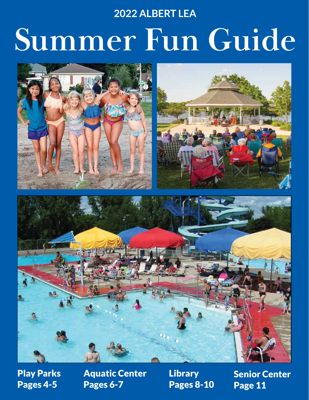# **2022 ALBERT LEA**

# **Summer Fun Guide**



Play Parks Pages 4-5

Aquatic Center Pages 6-7

**Library** Pages 8-10 Senior Center Page 11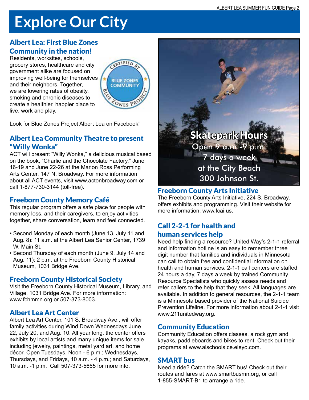# **Explore Our City**

### Albert Lea: First Blue Zones Community in the nation!

Residents, worksites, schools, grocery stores, healthcare and city government alike are focused on improving well-being for themselves and their neighbors. Together, we are lowering rates of obesity, smoking and chronic diseases to create a healthier, happier place to live, work and play.



Look for Blue Zones Project Albert Lea on Facebook!

#### Albert Lea Community Theatre to present "Willy Wonka"

ACT will present "Willy Wonka," a delicious musical based on the book, "Charlie and the Chocolate Factory," June 16-19 and June 22-26 at the Marion Ross Performing Arts Center, 147 N. Broadway. For more information about all ACT events, visit www.actonbroadway.com or call 1-877-730-3144 (toll-free).

#### Freeborn County Memory Café

This regular program offers a safe place for people with memory loss, and their caregivers, to enjoy activities together, share conversation, learn and feel connected.

- Second Monday of each month (June 13, July 11 and Aug. 8): 11 a.m. at the Albert Lea Senior Center, 1739 W. Main St.
- Second Thursday of each month (June 9, July 14 and Aug. 11): 2 p.m. at the Freeborn County Historical Museum, 1031 Bridge Ave.

#### Freeborn County Historical Society

Visit the Freeborn County Historical Museum, Library, and Village, 1031 Bridge Ave. For more information: www.fchmmn.org or 507-373-8003.

#### Albert Lea Art Center

Albert Lea Art Center, 101 S. Broadway Ave., will offer family activities during Wind Down Wednesdays June 22, July 20, and Aug. 10. All year long, the center offers exhibits by local artists and many unique items for sale including jewelry, paintings, metal yard art, and home décor. Open Tuesdays, Noon - 6 p.m.; Wednesdays, Thursdays, and Fridays, 10 a.m. - 4 p.m.; and Saturdays, 10 a.m. -1 p.m. Call 507-373-5665 for more info.



# Freeborn County Arts Initiative

The Freeborn County Arts Initiative, 224 S. Broadway, offers exhibits and programming. Visit their website for more information: www.fcai.us.

#### Call 2-2-1 for health and human services help

Need help finding a resource? United Way's 2-1-1 referral and information hotline is an easy to remember three digit number that families and individuals in Minnesota can call to obtain free and confidential information on health and human services. 2-1-1 call centers are staffed 24 hours a day, 7 days a week by trained Community Resource Specialists who quickly assess needs and refer callers to the help that they seek. All languages are available. In addition to general resources, the 2-1-1 team is a Minnesota based provider of the National Suicide Prevention Lifeline. For more information about 2-1-1 visit www.211unitedway.org.

#### Community Education

Community Education offers classes, a rock gym and kayaks, paddleboards and bikes to rent. Check out their programs at www.alschools.ce.eleyo.com.

#### SMART bus

Need a ride? Catch the SMART bus! Check out their routes and fares at www.smartbusmn.org, or call 1-855-SMART-B1 to arrange a ride.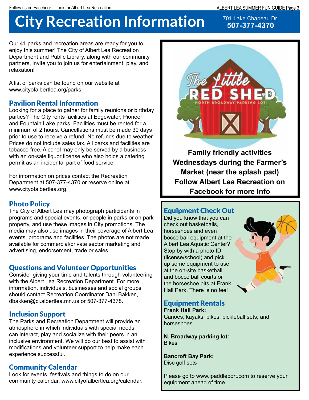# **City Recreation Information**

701 Lake Chapeau Dr. **507-377-4370**

Our 41 parks and recreation areas are ready for you to enjoy this summer! The City of Albert Lea Recreation Department and Public Library, along with our community partners, invite you to join us for entertainment, play, and relaxation!

A list of parks can be found on our website at www.cityofalbertlea.org/parks.

### Pavilion Rental Information

Looking for a place to gather for family reunions or birthday parties? The City rents facilities at Edgewater, Pioneer and Fountain Lake parks. Facilities must be rented for a minimum of 2 hours. Cancellations must be made 30 days prior to use to receive a refund. No refunds due to weather. Prices do not include sales tax. All parks and facilities are tobacco-free. Alcohol may only be served by a business with an on-sale liquor license who also holds a catering permit as an incidental part of food service.

For information on prices contact the Recreation Department at 507-377-4370 or reserve online at www.cityofalbertlea.org.

### Photo Policy

The City of Albert Lea may photograph participants in programs and special events, or people in parks or on park property, and use these images in City promotions. The media may also use images in their coverage of Albert Lea events, programs and facilities. The photos are not made available for commercial/private sector marketing and advertising, endorsement, trade or sales.

#### Questions and Volunteer Opportunities

Consider giving your time and talents through volunteering with the Albert Lea Recreation Department. For more information, individuals, businesses and social groups should contact Recreation Coordinator Dani Bakken, dbakken@ci.albertlea.mn.us or 507-377-4378.

# Inclusion Support

The Parks and Recreation Department will provide an atmosphere in which individuals with special needs can interact, play and socialize with their peers in an inclusive environment. We will do our best to assist with modifications and volunteer support to help make each experience successful.

#### Community Calendar

Look for events, festivals and things to do on our community calendar, www.cityofalbertlea.org/calendar.



**Family friendly activities Wednesdays during the Farmer's Market (near the splash pad) Follow Albert Lea Recreation on Facebook for more info**

#### Equipment Check Out

Did you know that you can check out basketballs, horseshoes and even bocce ball equipment at the Albert Lea Aquatic Center? Stop by with a photo ID (license/school) and pick up some equipment to use at the on-site basketball and bocce ball courts or the horseshoe pits at Frank Hall Park. There is no fee!



#### Equipment Rentals **Frank Hall Park:**

Canoes, kayaks, bikes, pickleball sets, and horseshoes

**N. Broadway parking lot:** Bikes

**Bancroft Bay Park:** Disc golf sets

Please go to www.ipaddleport.com to reserve your equipment ahead of time.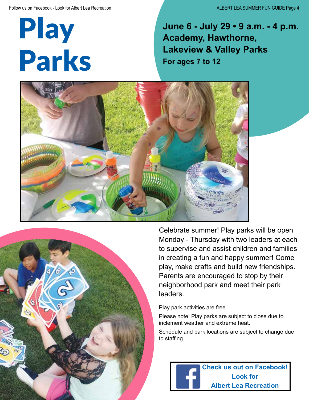Play Parks

**June 6 - July 29 • 9 a.m. - 4 p.m. Academy, Hawthorne, Lakeview & Valley Parks For ages 7 to 12**





Celebrate summer! Play parks will be open Monday - Thursday with two leaders at each to supervise and assist children and families in creating a fun and happy summer! Come play, make crafts and build new friendships. Parents are encouraged to stop by their neighborhood park and meet their park leaders.

Play park activities are free.

Please note: Play parks are subject to close due to inclement weather and extreme heat.

Schedule and park locations are subject to change due to staffing.

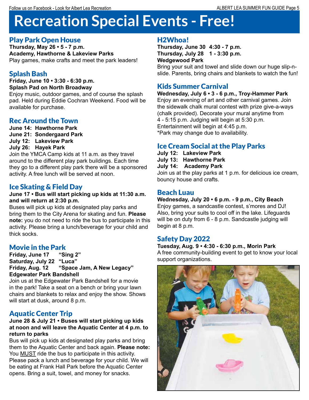# **Recreation Special Events - Free!**

# Play Park Open House

**Thursday, May 26 • 5 - 7 p.m. Academy, Hawthorne & Lakeview Parks** Play games, make crafts and meet the park leaders!

# Splash Bash

**Friday, June 10 • 3:30 - 6:30 p.m. Splash Pad on North Broadway**

Enjoy music, outdoor games, and of course the splash pad. Held during Eddie Cochran Weekend. Food will be available for purchase.

# Rec Around the Town

**June 14: Hawthorne Park June 21: Sondergaard Park**

**July 12: Lakeview Park**

**July 26: Hayek Park**

Join the YMCA Camp kids at 11 a.m. as they travel around to the different play park buildings. Each time they go to a different play park there will be a sponsored activity. A free lunch will be served at noon.

# Ice Skating & Field Day

#### **June 17 • Bus will start picking up kids at 11:30 a.m. and will return at 2:30 p.m.**

Buses will pick up kids at designated play parks and bring them to the City Arena for skating and fun. **Please note:** you do not need to ride the bus to participate in this activity. Please bring a lunch/beverage for your child and thick socks.

# Movie in the Park

**Friday, June 17 "Sing 2" Saturday, July 22 "Luca" Friday, Aug. 12 "Space Jam, A New Legacy" Edgewater Park Bandshell**

Join us at the Edgewater Park Bandshell for a movie in the park! Take a seat on a bench or bring your lawn chairs and blankets to relax and enjoy the show. Shows will start at dusk, around 8 p.m.

# Aquatic Center Trip

#### **June 28 & July 21 • Buses will start picking up kids at noon and will leave the Aquatic Center at 4 p.m. to return to parks**

Bus will pick up kids at designated play parks and bring them to the Aquatic Center and back again. **Please note:** You MUST ride the bus to participate in this activity. Please pack a lunch and beverage for your child. We will be eating at Frank Hall Park before the Aquatic Center opens. Bring a suit, towel, and money for snacks.

# H2Whoa!

**Thursday, June 30 4:30 - 7 p.m. Thursday, July 28 1 - 3:30 p.m. Wedgewood Park** 

Bring your suit and towel and slide down our huge slip-nslide. Parents, bring chairs and blankets to watch the fun!

# Kids Summer Carnival

#### **Wednesday, July 6 • 3 - 6 p.m., Troy-Hammer Park**

Enjoy an evening of art and other carnival games. Join the sidewalk chalk mural contest with prize give-a-ways (chalk provided). Decorate your mural anytime from 4 - 5:15 p.m. Judging will begin at 5:30 p.m. Entertainment will begin at 4:45 p.m. \*Park may change due to availability.

# Ice Cream Social at the Play Parks

**July 12: Lakeview Park July 13: Hawthorne Park July 14: Academy Park** Join us at the play parks at 1 p.m. for delicious ice cream, bouncy house and crafts.

#### Beach Luau

**Wednesday, July 20 • 6 p.m. - 9 p.m., City Beach** Enjoy games, a sandcastle contest, s'mores and DJ! Also, bring your suits to cool off in the lake. Lifeguards will be on duty from 6 - 8 p.m. Sandcastle judging will begin at 8 p.m.

# Safety Day 2022

#### **Tuesday, Aug. 9 • 4:30 - 6:30 p.m., Morin Park** A free community-building event to get to know your local support organizations.

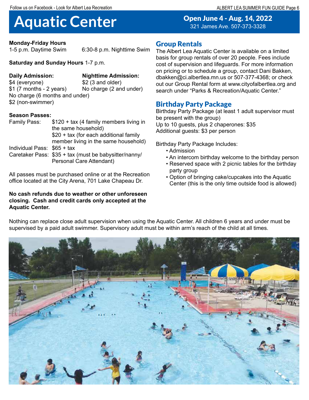ALBERT LEA SUMMER FUN GUIDE Page 6

# **Aquatic Center** Open June 4 - Aug. 14, 2022

**Monday-Friday Hours**

1-5 p.m. Daytime Swim 6:30-8 p.m. Nighttime Swim

#### **Saturday and Sunday Hours** 1-7 p.m.

**Daily Admission: Nighttime Admission:** No charge (2 and under)

\$4 (everyone) \$2 (3 and older) No charge (6 months and under) \$2 (non-swimmer)

#### **Season Passes:**

| Family Pass:                | \$120 + tax (4 family members living in               |
|-----------------------------|-------------------------------------------------------|
|                             | the same household)                                   |
|                             | \$20 + tax (for each additional family                |
|                             | member living in the same household)                  |
| Individual Pass: \$65 + tax |                                                       |
|                             | Caretaker Pass: \$35 + tax (must be babysitter/nanny/ |
|                             | Personal Care Attendant)                              |

All passes must be purchased online or at the Recreation office located at the City Arena, 701 Lake Chapeau Dr.

#### **No cash refunds due to weather or other unforeseen closing. Cash and credit cards only accepted at the Aquatic Center.**

#### Group Rentals

The Albert Lea Aquatic Center is available on a limited basis for group rentals of over 20 people. Fees include cost of supervision and lifeguards. For more information on pricing or to schedule a group, contact Dani Bakken, dbakken@ci.albertlea.mn.us or 507-377-4368; or check out our Group Rental form at www.cityofalbertlea.org and search under "Parks & Recreation/Aquatic Center."

321 James Ave. 507-373-3328

#### Birthday Party Package

Birthday Party Package (at least 1 adult supervisor must be present with the group) Up to 10 guests, plus 2 chaperones: \$35 Additional guests: \$3 per person

Birthday Party Package Includes:

- Admission
- An intercom birthday welcome to the birthday person
- Reserved space with 2 picnic tables for the birthday party group
- Option of bringing cake/cupcakes into the Aquatic Center (this is the only time outside food is allowed)



Nothing can replace close adult supervision when using the Aquatic Center. All children 6 years and under must be supervised by a paid adult swimmer. Supervisory adult must be within arm's reach of the child at all times.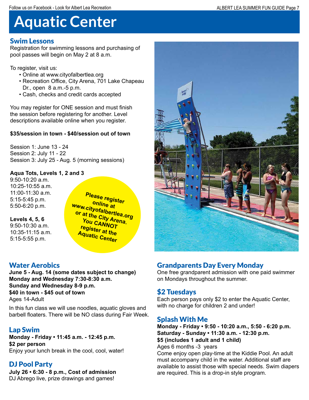# **Aquatic Center**

#### Swim Lessons

Registration for swimming lessons and purchasing of pool passes will begin on May 2 at 8 a.m.

To register, visit us:

- Online at www.cityofalbertlea.org
- Recreation Office, City Arena, 701 Lake Chapeau Dr., open 8 a.m.-5 p.m.
- Cash, checks and credit cards accepted

You may register for ONE session and must finish the session before registering for another. Level descriptions available online when you register.

#### **\$35/session in town - \$40/session out of town**

Session 1: June 13 - 24 Session 2: July 11 - 22 Session 3: July 25 - Aug. 5 (morning sessions)

#### **Aqua Tots, Levels 1, 2 and 3**

9:50-10:20 a.m. 10:25-10:55 a.m. 11:00-11:30 a.m. 5:15-5:45 p.m. 5:50-6:20 p.m.

**Levels 4, 5, 6** 9:50-10:30 a.m.  $10:35-11:15$  a.m. 5:15-5:55 p.m.

**Please register online at www.cityofalbertlea.org or at the City Arena. You CANNOT register at the Aquatic Center**

# Water Aerobics

**June 5 - Aug. 14 (some dates subject to change) Monday and Wednesday 7:30-8:30 a.m. Sunday and Wednesday 8-9 p.m. \$40 in town - \$45 out of town** Ages 14-Adult

In this fun class we will use noodles, aquatic gloves and barbell floaters. There will be NO class during Fair Week.

# Lap Swim

**Monday - Friday • 11:45 a.m. - 12:45 p.m. \$2 per person** Enjoy your lunch break in the cool, cool, water!

# DJ Pool Party

**July 26 • 6:30 - 8 p.m., Cost of admission** DJ Abrego live, prize drawings and games!



# Grandparents Day Every Monday

One free grandparent admission with one paid swimmer on Mondays throughout the summer.

# \$2 Tuesdays

Each person pays only \$2 to enter the Aquatic Center, with no charge for children 2 and under!

# Splash With Me

**Monday - Friday • 9:50 - 10:20 a.m., 5:50 - 6:20 p.m. Saturday - Sunday • 11:30 a.m. - 12:30 p.m. \$5 (includes 1 adult and 1 child)**

Ages 6 months -3 years

Come enjoy open play-time at the Kiddie Pool. An adult must accompany child in the water. Additional staff are available to assist those with special needs. Swim diapers are required. This is a drop-in style program.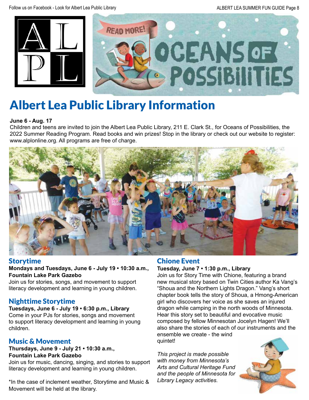



# Albert Lea Public Library Information

#### **June 6 - Aug. 17**

Children and teens are invited to join the Albert Lea Public Library, 211 E. Clark St., for Oceans of Possibilities, the 2022 Summer Reading Program. Read books and win prizes! Stop in the library or check out our website to register: www.alplonline.org. All programs are free of charge.



#### Storytime

#### **Mondays and Tuesdays, June 6 - July 19 • 10:30 a.m., Fountain Lake Park Gazebo**

Join us for stories, songs, and movement to support literacy development and learning in young children.

#### Nighttime Storytime

**Tuesdays, June 6 - July 19 • 6:30 p.m., Library** Come in your PJs for stories, songs and movement to support literacy development and learning in young children.

#### Music & Movement

#### **Thursdays, June 9 - July 21 • 10:30 a.m., Fountain Lake Park Gazebo**

Join us for music, dancing, singing, and stories to support literacy development and learning in young children.

\*In the case of inclement weather, Storytime and Music & Movement will be held at the library.

# Chione Event

#### **Tuesday, June 7 • 1:30 p.m., Library**

Join us for Story Time with Chione, featuring a brand new musical story based on Twin Cities author Ka Vang's "Shoua and the Northern Lights Dragon." Vang's short chapter book tells the story of Shoua, a Hmong-American girl who discovers her voice as she saves an injured dragon while camping in the north woods of Minnesota. Hear this story set to beautiful and evocative music composed by fellow Minnesotan Jocelyn Hagen! We'll also share the stories of each of our instruments and the ensemble we create - the wind quintet!

*This project is made possible with money from Minnesota's Arts and Cultural Heritage Fund and the people of Minnesota for Library Legacy activities.*

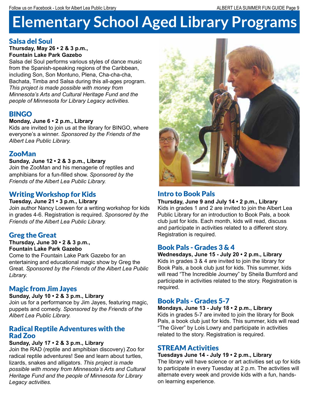# **Elementary School Aged Library Programs**

#### Salsa del Soul

**Thursday, May 26 • 2 & 3 p.m., Fountain Lake Park Gazebo**

Salsa del Soul performs various styles of dance music from the Spanish-speaking regions of the Caribbean, including Son, Son Montuno, Plena, Cha-cha-cha, Bachata, Timba and Salsa during this all-ages program. *This project is made possible with money from Minnesota's Arts and Cultural Heritage Fund and the people of Minnesota for Library Legacy activities.*

### BINGO

#### **Monday, June 6 • 2 p.m., Library**

Kids are invited to join us at the library for BINGO, where everyone's a winner. *Sponsored by the Friends of the Albert Lea Public Library.*

#### ZooMan

#### **Sunday, June 12 • 2 & 3 p.m., Library**

Join the ZooMan and his menagerie of reptiles and amphibians for a fun-filled show. *Sponsored by the Friends of the Albert Lea Public Library.*

### Writing Workshop for Kids

#### **Tuesday, June 21 • 3 p.m., Library**

Join author Nancy Loewen for a writing workshop for kids in grades 4-6. Registration is required. *Sponsored by the Friends of the Albert Lea Public Library.*

#### Greg the Great

#### **Thursday, June 30 • 2 & 3 p.m., Fountain Lake Park Gazebo**

Come to the Fountain Lake Park Gazebo for an entertaining and educational magic show by Greg the Great. *Sponsored by the Friends of the Albert Lea Public Library.*

#### Magic from Jim Jayes

#### **Sunday, July 10 • 2 & 3 p.m., Library**

Join us for a performance by Jim Jayes, featuring magic, puppets and comedy. *Sponsored by the Friends of the Albert Lea Public Library.*

#### Radical Reptile Adventures with the Rad Zoo

#### **Sunday, July 17 • 2 & 3 p.m., Library**

Join the RAD (reptile and amphibian discovery) Zoo for radical reptile adventures! See and learn about turtles, lizards, snakes and alligators. *This project is made possible with money from Minnesota's Arts and Cultural Heritage Fund and the people of Minnesota for Library Legacy activities.*



### Intro to Book Pals

**Thursday, June 9 and July 14 • 2 p.m., Library** Kids in grades 1 and 2 are invited to join the Albert Lea Public Library for an introduction to Book Pals, a book club just for kids. Each month, kids will read, discuss and participate in activities related to a different story. Registration is required.

#### Book Pals - Grades 3 & 4

#### **Wednesdays, June 15 - July 20 • 2 p.m., Library**

Kids in grades 3 & 4 are invited to join the library for Book Pals, a book club just for kids. This summer, kids will read "The Incredible Journey" by Sheila Burnford and participate in activities related to the story. Registration is required.

#### Book Pals - Grades 5-7

#### **Mondays, June 13 - July 18 • 2 p.m., Library**

Kids in grades 5-7 are invited to join the library for Book Pals, a book club just for kids. This summer, kids will read "The Giver" by Lois Lowry and participate in activities related to the story. Registration is required.

#### STREAM Activities

#### **Tuesdays June 14 - July 19 • 2 p.m., Library**

The library will have science or art activities set up for kids to participate in every Tuesday at 2 p.m. The activities will alternate every week and provide kids with a fun, handson learning experience.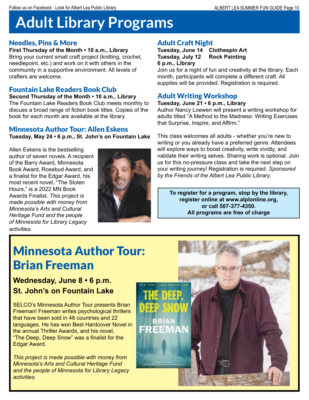# **Adult Library Programs**

#### Needles, Pins & More

**First Thursday of the Month • 10 a.m., Library** Bring your current small craft project (knitting, crochet,

needlepoint, etc.) and work on it with others in the community in a supportive environment. All levels of crafters are welcome.

#### Fountain Lake Readers Book Club

**Second Thursday of the Month • 10 a.m., Library** The Fountain Lake Readers Book Club meets monthly to discuss a broad range of fiction book titles. Copies of the book for each month are available at the library.

#### Minnesota Author Tour: Allen Eskens

**Tuesday, May 24 • 6 p.m., St. John's on Fountain Lake** 

Allen Eskens is the bestselling author of seven novels. A recipient of the Barry Award, Minnesota Book Award, Rosebud Award, and a finalist for the Edgar Award, his most recent novel, "The Stolen Hours," is a 2022 MN Book Awards Finalist. *This project is made possible with money from Minnesota's Arts and Cultural Heritage Fund and the people of Minnesota for Library Legacy activities.*



# Adult Craft Night

**Tuesday, June 14 Clothespin Art Tuesday, July 12 Rock Painting 6 p.m., Library**

Join us for a night of fun and creativity at the library. Each month, participants will complete a different craft. All supplies will be provided. Registration is required.

# Adult Writing Workshop

#### **Tuesday, June 21 • 6 p.m., Library**

Author Nancy Loewen will present a writing workshop for adults titled "A Method to the Madness: Writing Exercises that Surprise, Inspire, and Affirm."

This class welcomes all adults - whether you're new to writing or you already have a preferred genre. Attendees will explore ways to boost creativity, write vividly, and validate their writing selves. Sharing work is optional. Join us for this no-pressure class and take the next step on your writing journey! Registration is required. *Sponsored by the Friends of the Albert Lea Public Library.*

**To register for a program, stop by the library, register online at www.alplonline.org, or call 507-377-4350. All programs are free of charge**

# Minnesota Author Tour: Brian Freeman

# **Wednesday, June 8 • 6 p.m. St. John's on Fountain Lake**

SELCO's Minnesota Author Tour presents Brian Freeman! Freeman writes psychological thrillers that have been sold in 46 countries and 22 languages. He has won Best Hardcover Novel in the annual Thriller Awards, and his novel, "The Deep, Deep Snow" was a finalist for the Edgar Award.

*This project is made possible with money from Minnesota's Arts and Cultural Heritage Fund and the people of Minnesota for Library Legacy activities.*

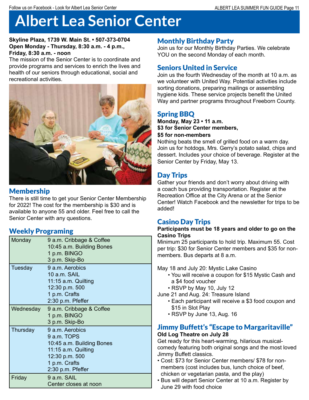# **Albert Lea Senior Center**

#### **Skyline Plaza, 1739 W. Main St. • 507-373-0704 Open Monday - Thursday, 8:30 a.m. - 4 p.m., Friday, 8:30 a.m. - noon**

The mission of the Senior Center is to coordinate and provide programs and services to enrich the lives and health of our seniors through educational, social and recreational activities.



# Membership

There is still time to get your Senior Center Membership for 2022! The cost for the membership is \$30 and is available to anyone 55 and older. Feel free to call the Senior Center with any questions.

# Weekly Programing

| Monday    | 9 a.m. Cribbage & Coffee<br>10:45 a.m. Building Bones<br>1 p.m. BINGO<br>3 p.m. Skip-Bo                                                    |
|-----------|--------------------------------------------------------------------------------------------------------------------------------------------|
| Tuesday   | 9 a.m. Aerobics<br>10 a.m. SAIL<br>11:15 a.m. Quilting<br>12:30 p.m. 500<br>1 p.m. Crafts<br>2:30 p.m. Pfeffer                             |
| Wednesday | 9 a.m. Cribbage & Coffee<br>1 p.m. BINGO<br>3 p.m. Skip-Bo                                                                                 |
| Thursday  | 9 a.m. Aerobics<br>9 a.m. TOPS<br>10:45 a.m. Building Bones<br>11:15 a.m. Quilting<br>12:30 p.m. 500<br>1 p.m. Crafts<br>2:30 p.m. Pfeffer |
| Friday    | 9 a.m. SAIL<br>Center closes at noon                                                                                                       |

### Monthly Birthday Party

Join us for our Monthly Birthday Parties. We celebrate YOU on the second Monday of each month.

#### Seniors United in Service

Join us the fourth Wednesday of the month at 10 a.m. as we volunteer with United Way. Potential activities include sorting donations, preparing mailings or assembling hygiene kids. These service projects benefit the United Way and partner programs throughout Freeborn County.

#### Spring BBQ

#### **Monday, May 23 • 11 a.m. \$3 for Senior Center members, \$5 for non-members**

Nothing beats the smell of grilled food on a warm day. Join us for hotdogs, Mrs. Gerry's potato salad, chips and dessert. Includes your choice of beverage. Register at the Senior Center by Friday, May 13.

# Day Trips

Gather your friends and don't worry about driving with a coach bus providing transportation. Register at the Recreation Office at the City Arena or at the Senior Center! Watch Facebook and the newsletter for trips to be added!

#### Casino Day Trips

#### **Participants must be 18 years and older to go on the Casino Trips**

Minimum 25 participants to hold trip. Maximum 55. Cost per trip: \$30 for Senior Center members and \$35 for nonmembers. Bus departs at 8 a.m.

May 18 and July 20: Mystic Lake Casino

- You will receive a coupon for \$15 Mystic Cash and a \$4 food voucher
- RSVP by May 10, July 12

June 21 and Aug. 24: Treasure Island

- Each participant will receive a \$3 food coupon and \$15 in Slot Play
- RSVP by June 13, Aug. 16

#### Jimmy Buffett's "Escape to Margaritaville" **Old Log Theatre on July 28**

Get ready for this heart-warming, hilarious musicalcomedy featuring both original songs and the most loved Jimmy Buffett classics.

- Cost: \$73 for Senior Center members/ \$78 for nonmembers (cost includes bus, lunch choice of beef, chicken or vegetarian pasta, and the play)
- Bus will depart Senior Center at 10 a.m. Register by June 29 with food choice